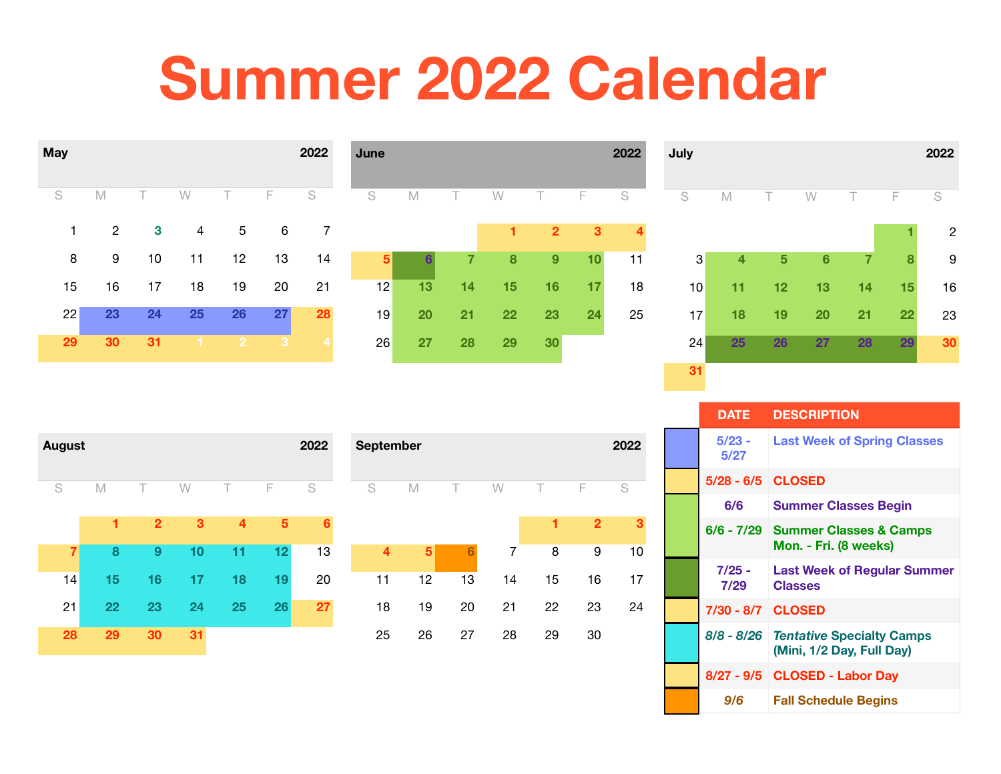## **Summer 2022 Calendar**



| June |                 |    |    |                |    | 2022 |
|------|-----------------|----|----|----------------|----|------|
| S    | M               | Τ  | W  | Τ              | F  | S    |
|      |                 |    | 1  | $\overline{2}$ | 3  | 4    |
| 5    | $6\phantom{1}6$ | 7  | 8  | 9              | 10 | 11   |
| 12   | 13              | 14 | 15 | 16             | 17 | 18   |
| 19   | 20              | 21 | 22 | 23             | 24 | 25   |
| 26   | 27              | 28 | 29 | 30             |    |      |
|      |                 |    |    |                |    |      |



| <b>August</b>  |    |                |    |    |    | 2022 |
|----------------|----|----------------|----|----|----|------|
| S              | M  | T              | W  | Т  | F  | S    |
|                | 1  | $\overline{2}$ | 3  | 4  | 5  | 6    |
| $\overline{7}$ | 8  | 9              | 10 | 11 | 12 | 13   |
| 14             | 15 | 16             | 17 | 18 | 19 | 20   |
| 21             | 22 | 23             | 24 | 25 | 26 | 27   |
| 28             | 29 | 30             | 31 |    |    |      |

| <b>September</b> | 2022 |    |    |    |                |    |
|------------------|------|----|----|----|----------------|----|
| S<br>M           |      | т  | W  | Т  | F              | S  |
|                  |      |    |    | 1  | $\overline{2}$ | 3  |
| 4                | 5    | 6  | 7  | 8  | 9              | 10 |
| 11               | 12   | 13 | 14 | 15 | 16             | 17 |
| 18               | 19   | 20 | 21 | 22 | 23             | 24 |
| 25               | 26   | 27 | 28 | 29 | 30             |    |

| <b>DATE</b>       | <b>DESCRIPTION</b>                                            |
|-------------------|---------------------------------------------------------------|
| $5/23 -$<br>5/27  | <b>Last Week of Spring Classes</b>                            |
| 5/28 - 6/5 CLOSED |                                                               |
| 6/6               | <b>Summer Classes Begin</b>                                   |
|                   | 6/6 - 7/29 Summer Classes & Camps<br>Mon. - Fri. (8 weeks)    |
| 7/25 -<br>7/29    | <b>Last Week of Regular Summer</b><br><b>Classes</b>          |
| 7/30 - 8/7 CLOSED |                                                               |
| $8/8 - 8/26$      | <b>Tentative Specialty Camps</b><br>(Mini, 1/2 Day, Full Day) |
|                   | 8/27 - 9/5 CLOSED - Labor Day                                 |
| 9/6               | <b>Fall Schedule Begins</b>                                   |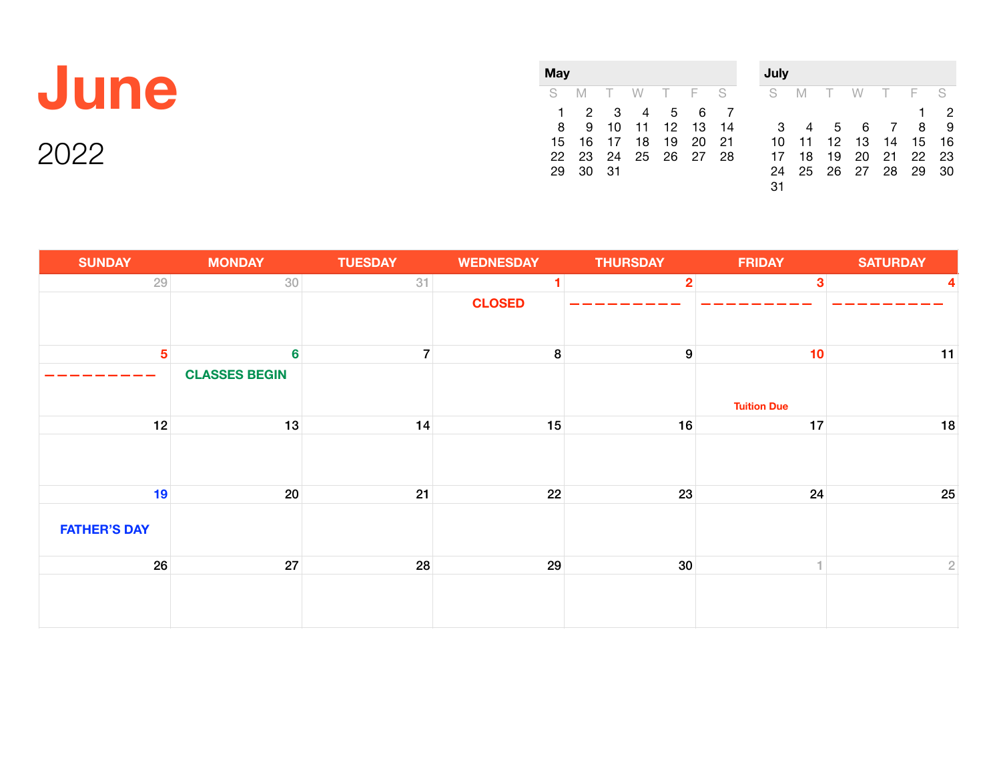## **June**

| Mav |    |          |          |       |    |    |  |  |  |  |  |
|-----|----|----------|----------|-------|----|----|--|--|--|--|--|
| S   | M  |          | T W T F  |       |    | S  |  |  |  |  |  |
| 1   | 2  | 3        | 4        | 5     | 6  |    |  |  |  |  |  |
| 8   | 9  |          | 10 11 12 |       | 13 | 14 |  |  |  |  |  |
| 15  |    | 16 17 18 |          | 19    | 20 | 21 |  |  |  |  |  |
| 22  | 23 | 24       | - 25     | 26 27 |    | 28 |  |  |  |  |  |
| 29  | 30 | 31       |          |       |    |    |  |  |  |  |  |

| July |    |        |    |                |     |    |
|------|----|--------|----|----------------|-----|----|
| S    | M  | $\top$ | W  | $\top$         | - F | S  |
|      |    |        |    |                | 1   | 2  |
| 3    | 4  | 5      | 6  | $\overline{7}$ | 8   | 9  |
| 10   | 11 | 12     | 13 | 14             | 15  | 16 |
| 17   | 18 | 19     | 20 | 21             | 22  | 23 |
| 24   | 25 | 26     | 27 | 28             | 29  | 30 |
| 31   |    |        |    |                |     |    |

| <b>SUNDAY</b>       | <b>MONDAY</b>        | <b>TUESDAY</b> | <b>WEDNESDAY</b> | <b>THURSDAY</b>         | <b>FRIDAY</b>      | <b>SATURDAY</b> |
|---------------------|----------------------|----------------|------------------|-------------------------|--------------------|-----------------|
| 29                  | $30\,$               | 31             |                  | $\overline{\mathbf{2}}$ | $\mathbf{3}$       | 4               |
|                     |                      |                | <b>CLOSED</b>    |                         |                    |                 |
| 5                   | $6\phantom{1}$       | $\overline{7}$ | $\boldsymbol{8}$ | $\boldsymbol{9}$        | 10                 | 11              |
|                     | <b>CLASSES BEGIN</b> |                |                  |                         | <b>Tuition Due</b> |                 |
| 12                  | 13                   | 14             | 15               | 16                      | 17                 | 18              |
|                     |                      |                |                  |                         |                    |                 |
| 19                  | 20                   | 21             | 22               | 23                      | 24                 | 25              |
| <b>FATHER'S DAY</b> |                      |                |                  |                         |                    |                 |
| 26                  | 27                   | 28             | 29               | 30                      | 1.                 | $\sqrt{2}$      |
|                     |                      |                |                  |                         |                    |                 |